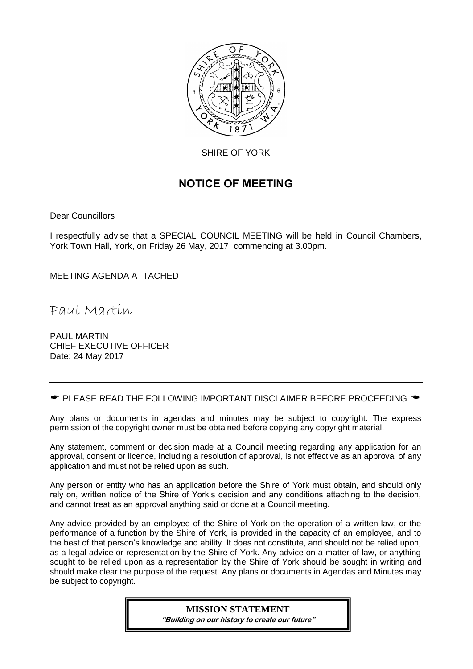

SHIRE OF YORK

# NOTICE OF MEETING

Dear Councillors

I respectfully advise that a SPECIAL COUNCIL MEETING will be held in Council Chambers, York Town Hall, York, on Friday 26 May, 2017, commencing at 3.00pm.

MEETING AGENDA ATTACHED

Paul Martin

PAUL MARTIN CHIEF EXECUTIVE OFFICER Date: 24 May 2017

 $\bullet$  PLEASE READ THE FOLLOWING IMPORTANT DISCLAIMER BEFORE PROCEEDING  $\bullet$ 

Any plans or documents in agendas and minutes may be subject to copyright. The express permission of the copyright owner must be obtained before copying any copyright material.

Any statement, comment or decision made at a Council meeting regarding any application for an approval, consent or licence, including a resolution of approval, is not effective as an approval of any application and must not be relied upon as such.

Any person or entity who has an application before the Shire of York must obtain, and should only rely on, written notice of the Shire of York's decision and any conditions attaching to the decision, and cannot treat as an approval anything said or done at a Council meeting.

Any advice provided by an employee of the Shire of York on the operation of a written law, or the performance of a function by the Shire of York, is provided in the capacity of an employee, and to the best of that person's knowledge and ability. It does not constitute, and should not be relied upon, as a legal advice or representation by the Shire of York. Any advice on a matter of law, or anything sought to be relied upon as a representation by the Shire of York should be sought in writing and should make clear the purpose of the request. Any plans or documents in Agendas and Minutes may be subject to copyright.

# **MISSION STATEMENT**

"Building on our history to create our future"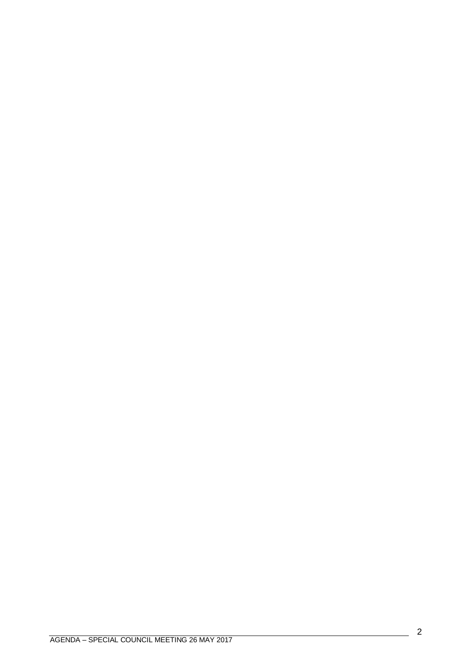$\mathbb{R}$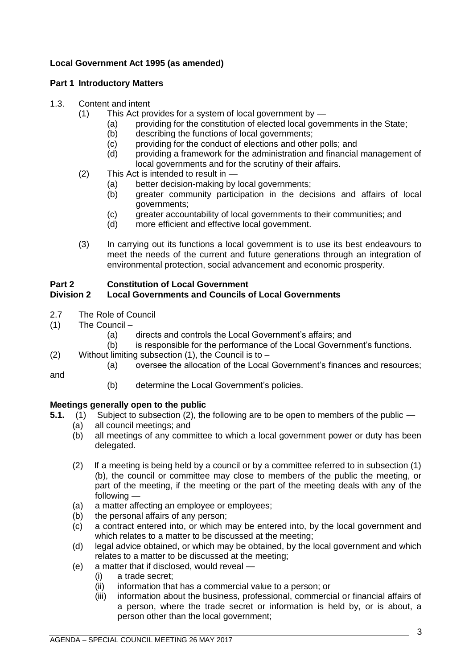# **Local Government Act 1995 (as amended)**

# **Part 1 Introductory Matters**

# 1.3. Content and intent

- (1) This Act provides for a system of local government by
	- (a) providing for the constitution of elected local governments in the State;
	- (b) describing the functions of local governments;
	- (c) providing for the conduct of elections and other polls; and
	- (d) providing a framework for the administration and financial management of local governments and for the scrutiny of their affairs.
- (2) This Act is intended to result in
	- (a) better decision-making by local governments;
	- (b) greater community participation in the decisions and affairs of local governments;
	- (c) greater accountability of local governments to their communities; and
	- (d) more efficient and effective local government.
- (3) In carrying out its functions a local government is to use its best endeavours to meet the needs of the current and future generations through an integration of environmental protection, social advancement and economic prosperity.

# **Part 2 Constitution of Local Government**

# **Division 2 Local Governments and Councils of Local Governments**

- 2.7 The Role of Council
- (1) The Council
	- (a) directs and controls the Local Government's affairs; and
	- (b) is responsible for the performance of the Local Government's functions.
- (2) Without limiting subsection (1), the Council is to
	- (a) oversee the allocation of the Local Government's finances and resources;

and

(b) determine the Local Government's policies.

# **Meetings generally open to the public**

- **5.1.** (1) Subject to subsection (2), the following are to be open to members of the public
	- (a) all council meetings; and
	- (b) all meetings of any committee to which a local government power or duty has been delegated.
	- (2) If a meeting is being held by a council or by a committee referred to in subsection (1) (b), the council or committee may close to members of the public the meeting, or part of the meeting, if the meeting or the part of the meeting deals with any of the following —
	- (a) a matter affecting an employee or employees;
	- (b) the personal affairs of any person;
	- (c) a contract entered into, or which may be entered into, by the local government and which relates to a matter to be discussed at the meeting;
	- (d) legal advice obtained, or which may be obtained, by the local government and which relates to a matter to be discussed at the meeting;
	- (e) a matter that if disclosed, would reveal
		- (i) a trade secret;
		- (ii) information that has a commercial value to a person; or
		- (iii) information about the business, professional, commercial or financial affairs of a person, where the trade secret or information is held by, or is about, a person other than the local government;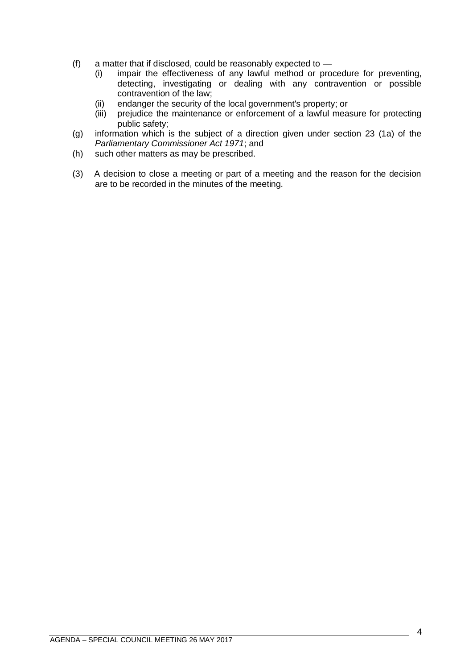- (f) a matter that if disclosed, could be reasonably expected to  $-$ 
	- (i) impair the effectiveness of any lawful method or procedure for preventing, detecting, investigating or dealing with any contravention or possible contravention of the law;
	- (ii) endanger the security of the local government's property; or
	- (iii) prejudice the maintenance or enforcement of a lawful measure for protecting public safety;
- (g) information which is the subject of a direction given under section 23 (1a) of the *Parliamentary Commissioner Act 1971*; and
- (h) such other matters as may be prescribed.
- (3) A decision to close a meeting or part of a meeting and the reason for the decision are to be recorded in the minutes of the meeting.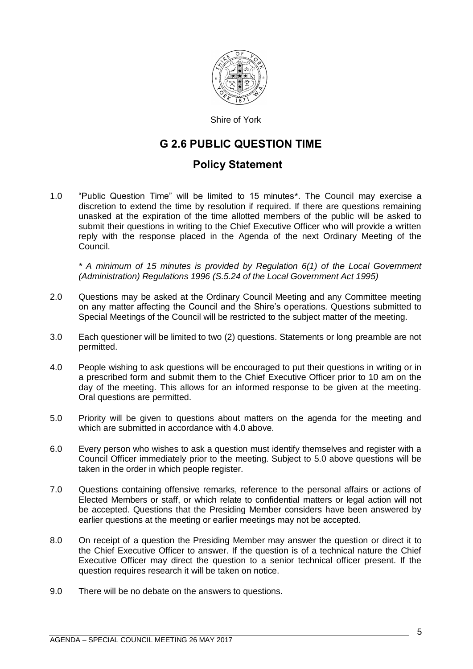

Shire of York

# G 2.6 PUBLIC QUESTION TIME

# Policy Statement

1.0 "Public Question Time" will be limited to 15 minutes\*. The Council may exercise a discretion to extend the time by resolution if required. If there are questions remaining unasked at the expiration of the time allotted members of the public will be asked to submit their questions in writing to the Chief Executive Officer who will provide a written reply with the response placed in the Agenda of the next Ordinary Meeting of the Council.

*\* A minimum of 15 minutes is provided by Regulation 6(1) of the Local Government (Administration) Regulations 1996 (S.5.24 of the Local Government Act 1995)*

- 2.0 Questions may be asked at the Ordinary Council Meeting and any Committee meeting on any matter affecting the Council and the Shire's operations. Questions submitted to Special Meetings of the Council will be restricted to the subject matter of the meeting.
- 3.0 Each questioner will be limited to two (2) questions. Statements or long preamble are not permitted.
- 4.0 People wishing to ask questions will be encouraged to put their questions in writing or in a prescribed form and submit them to the Chief Executive Officer prior to 10 am on the day of the meeting. This allows for an informed response to be given at the meeting. Oral questions are permitted.
- 5.0 Priority will be given to questions about matters on the agenda for the meeting and which are submitted in accordance with 4.0 above.
- 6.0 Every person who wishes to ask a question must identify themselves and register with a Council Officer immediately prior to the meeting. Subject to 5.0 above questions will be taken in the order in which people register.
- 7.0 Questions containing offensive remarks, reference to the personal affairs or actions of Elected Members or staff, or which relate to confidential matters or legal action will not be accepted. Questions that the Presiding Member considers have been answered by earlier questions at the meeting or earlier meetings may not be accepted.
- 8.0 On receipt of a question the Presiding Member may answer the question or direct it to the Chief Executive Officer to answer. If the question is of a technical nature the Chief Executive Officer may direct the question to a senior technical officer present. If the question requires research it will be taken on notice.
- 9.0 There will be no debate on the answers to questions.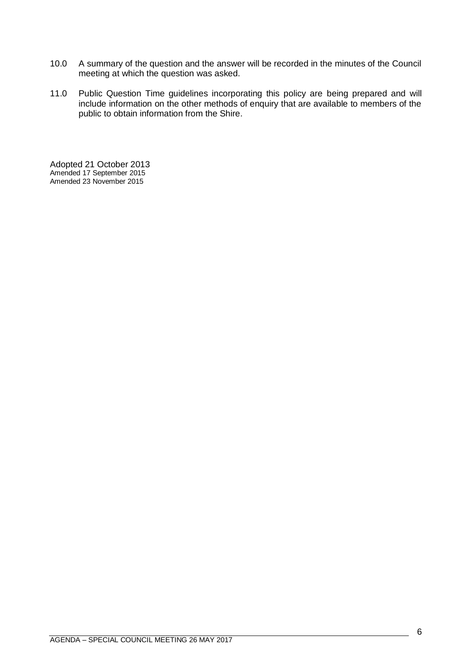- 10.0 A summary of the question and the answer will be recorded in the minutes of the Council meeting at which the question was asked.
- 11.0 Public Question Time guidelines incorporating this policy are being prepared and will include information on the other methods of enquiry that are available to members of the public to obtain information from the Shire.

Adopted 21 October 2013 Amended 17 September 2015 Amended 23 November 2015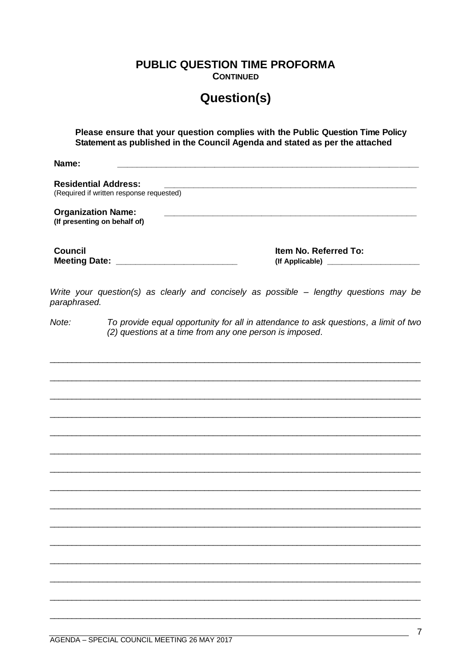**PUBLIC QUESTION TIME PROFORMA** 

**CONTINUED** 

# **Question(s)**

Please ensure that your question complies with the Public Question Time Policy Statement as published in the Council Agenda and stated as per the attached

Name:

**Residential Address:** (Required if written response requested) **Organization Name:** (If presenting on behalf of) **Council** Item No. Referred To: 

Write your question(s) as clearly and concisely as possible – lengthy questions may be paraphrased.

Note: To provide equal opportunity for all in attendance to ask questions, a limit of two (2) questions at a time from any one person is imposed.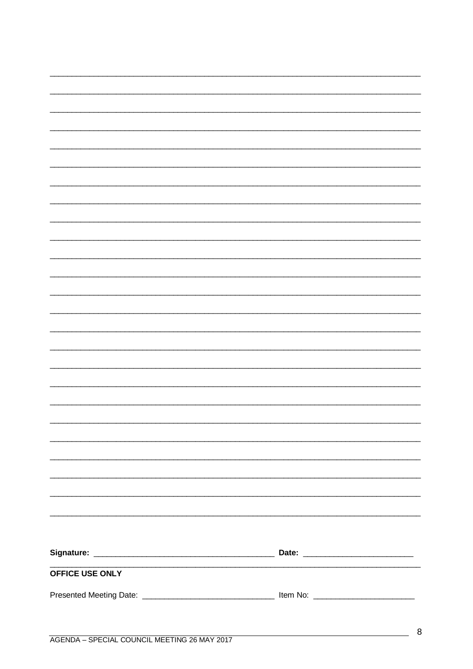| <u>,我们就会在这里的时候,我们就会在这里的时候,我们就会在这里的时候,我们就会在这里的时候,我们就会在这里的时候,我们就会在这里的时候,我们就会在这里的时候,我</u> |  |
|----------------------------------------------------------------------------------------|--|
|                                                                                        |  |
|                                                                                        |  |
|                                                                                        |  |
| OFFICE USE ONLY                                                                        |  |
|                                                                                        |  |
|                                                                                        |  |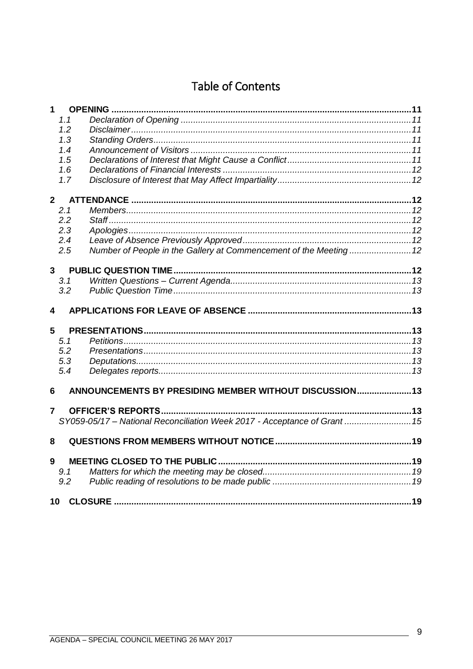# Table of Contents

| $\mathbf{1}$   |                 |                                                                           |  |
|----------------|-----------------|---------------------------------------------------------------------------|--|
|                | 1.1             |                                                                           |  |
|                | 1.2             |                                                                           |  |
|                | 1.3             |                                                                           |  |
|                | 1.4             |                                                                           |  |
|                | 1.5             |                                                                           |  |
|                | 1.6             |                                                                           |  |
|                | 1.7             |                                                                           |  |
| $\overline{2}$ |                 |                                                                           |  |
|                | 2.1             |                                                                           |  |
|                | 2.2             |                                                                           |  |
|                | 2.3             |                                                                           |  |
|                | 2.4             |                                                                           |  |
|                | 2.5             | Number of People in the Gallery at Commencement of the Meeting  12        |  |
| $\overline{3}$ |                 |                                                                           |  |
|                | 3.1             |                                                                           |  |
|                | 3.2             |                                                                           |  |
| 4              |                 |                                                                           |  |
| 5              |                 |                                                                           |  |
|                | 5.1             |                                                                           |  |
|                | 5.2             |                                                                           |  |
|                | 5.3             |                                                                           |  |
|                | 5.4             |                                                                           |  |
| 6              |                 | ANNOUNCEMENTS BY PRESIDING MEMBER WITHOUT DISCUSSION 13                   |  |
| $\overline{7}$ |                 |                                                                           |  |
|                |                 | SY059-05/17 - National Reconciliation Week 2017 - Acceptance of Grant  15 |  |
| 8              |                 |                                                                           |  |
| 9              |                 |                                                                           |  |
|                | 9.1             |                                                                           |  |
|                | 9.2             |                                                                           |  |
|                | 10 <sup>°</sup> |                                                                           |  |

 $\mathbf{r}$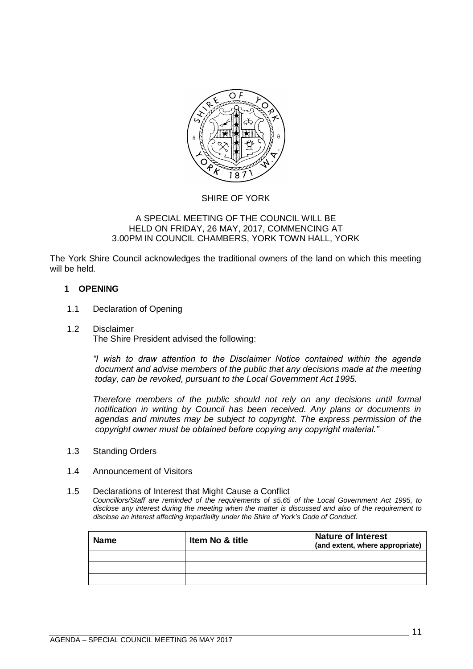

## SHIRE OF YORK

#### A SPECIAL MEETING OF THE COUNCIL WILL BE HELD ON FRIDAY, 26 MAY, 2017, COMMENCING AT 3.00PM IN COUNCIL CHAMBERS, YORK TOWN HALL, YORK

The York Shire Council acknowledges the traditional owners of the land on which this meeting will be held.

## <span id="page-10-0"></span>**1 OPENING**

- <span id="page-10-1"></span>1.1 Declaration of Opening
- <span id="page-10-2"></span>1.2 Disclaimer

The Shire President advised the following:

*"I wish to draw attention to the Disclaimer Notice contained within the agenda document and advise members of the public that any decisions made at the meeting today, can be revoked, pursuant to the Local Government Act 1995.* 

*Therefore members of the public should not rely on any decisions until formal notification in writing by Council has been received. Any plans or documents in agendas and minutes may be subject to copyright. The express permission of the copyright owner must be obtained before copying any copyright material."*

- <span id="page-10-3"></span>1.3 Standing Orders
- <span id="page-10-4"></span>1.4 Announcement of Visitors
- <span id="page-10-5"></span>1.5 Declarations of Interest that Might Cause a Conflict *Councillors/Staff are reminded of the requirements of s5.65 of the Local Government Act 1995, to disclose any interest during the meeting when the matter is discussed and also of the requirement to disclose an interest affecting impartiality under the Shire of York's Code of Conduct.*

| <b>Name</b> | Item No & title | <b>Nature of Interest</b><br>(and extent, where appropriate) |
|-------------|-----------------|--------------------------------------------------------------|
|             |                 |                                                              |
|             |                 |                                                              |
|             |                 |                                                              |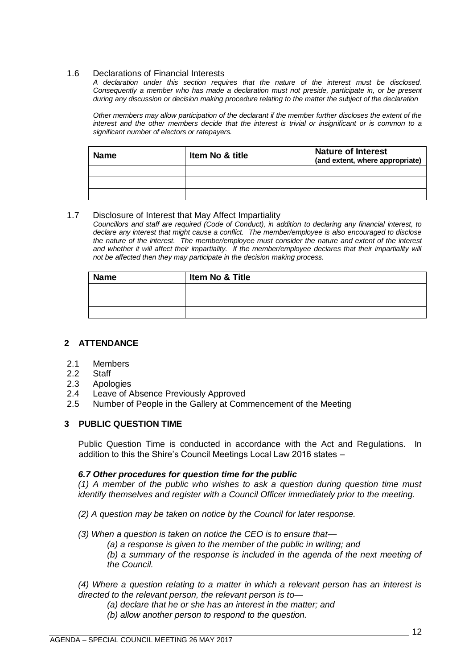#### <span id="page-11-0"></span>1.6 Declarations of Financial Interests

*A declaration under this section requires that the nature of the interest must be disclosed. Consequently a member who has made a declaration must not preside, participate in, or be present during any discussion or decision making procedure relating to the matter the subject of the declaration*

*Other members may allow participation of the declarant if the member further discloses the extent of the interest and the other members decide that the interest is trivial or insignificant or is common to a significant number of electors or ratepayers.*

| <b>Name</b> | Item No & title | <b>Nature of Interest</b><br>(and extent, where appropriate) |
|-------------|-----------------|--------------------------------------------------------------|
|             |                 |                                                              |
|             |                 |                                                              |
|             |                 |                                                              |

#### <span id="page-11-1"></span>1.7 Disclosure of Interest that May Affect Impartiality

*Councillors and staff are required (Code of Conduct), in addition to declaring any financial interest, to declare any interest that might cause a conflict. The member/employee is also encouraged to disclose the nature of the interest. The member/employee must consider the nature and extent of the interest*  and whether it will affect their impartiality. If the member/employee declares that their impartiality will *not be affected then they may participate in the decision making process.*

| <b>Name</b> | Item No & Title |
|-------------|-----------------|
|             |                 |
|             |                 |
|             |                 |

# <span id="page-11-2"></span>**2 ATTENDANCE**

- <span id="page-11-3"></span>2.1 Members
- <span id="page-11-4"></span>2.2 Staff
- <span id="page-11-5"></span>2.3 Apologies
- <span id="page-11-6"></span>2.4 Leave of Absence Previously Approved
- <span id="page-11-7"></span>2.5 Number of People in the Gallery at Commencement of the Meeting

## <span id="page-11-8"></span>**3 PUBLIC QUESTION TIME**

Public Question Time is conducted in accordance with the Act and Regulations. In addition to this the Shire's Council Meetings Local Law 2016 states –

## *6.7 Other procedures for question time for the public*

*(1) A member of the public who wishes to ask a question during question time must identify themselves and register with a Council Officer immediately prior to the meeting.* 

- *(2) A question may be taken on notice by the Council for later response.*
- *(3) When a question is taken on notice the CEO is to ensure that—*
	- *(a) a response is given to the member of the public in writing; and*

(b) a summary of the response is included in the agenda of the next meeting of *the Council.* 

*(4) Where a question relating to a matter in which a relevant person has an interest is directed to the relevant person, the relevant person is to—*

- *(a) declare that he or she has an interest in the matter; and*
- *(b) allow another person to respond to the question.*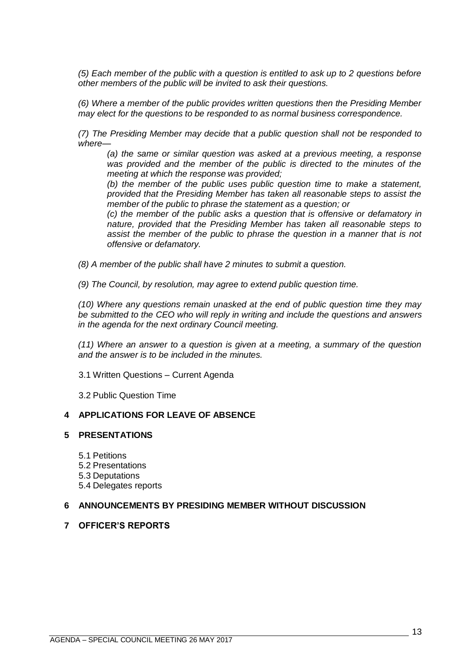*(5) Each member of the public with a question is entitled to ask up to 2 questions before other members of the public will be invited to ask their questions.* 

*(6) Where a member of the public provides written questions then the Presiding Member may elect for the questions to be responded to as normal business correspondence.* 

*(7) The Presiding Member may decide that a public question shall not be responded to where—*

*(a) the same or similar question was asked at a previous meeting, a response was provided and the member of the public is directed to the minutes of the meeting at which the response was provided;* 

*(b) the member of the public uses public question time to make a statement, provided that the Presiding Member has taken all reasonable steps to assist the member of the public to phrase the statement as a question; or* 

*(c) the member of the public asks a question that is offensive or defamatory in nature, provided that the Presiding Member has taken all reasonable steps to*  assist the member of the public to phrase the question in a manner that is not *offensive or defamatory.* 

*(8) A member of the public shall have 2 minutes to submit a question.* 

*(9) The Council, by resolution, may agree to extend public question time.* 

*(10) Where any questions remain unasked at the end of public question time they may be submitted to the CEO who will reply in writing and include the questions and answers in the agenda for the next ordinary Council meeting.* 

*(11) Where an answer to a question is given at a meeting, a summary of the question and the answer is to be included in the minutes.*

<span id="page-12-0"></span>3.1 Written Questions – Current Agenda

3.2 Public Question Time

#### <span id="page-12-2"></span><span id="page-12-1"></span>**4 APPLICATIONS FOR LEAVE OF ABSENCE**

#### <span id="page-12-4"></span><span id="page-12-3"></span>**5 PRESENTATIONS**

5.1 Petitions

- <span id="page-12-5"></span>5.2 Presentations
- <span id="page-12-6"></span>5.3 Deputations
- 5.4 Delegates reports

#### <span id="page-12-8"></span><span id="page-12-7"></span>**6 ANNOUNCEMENTS BY PRESIDING MEMBER WITHOUT DISCUSSION**

#### <span id="page-12-9"></span>**7 OFFICER'S REPORTS**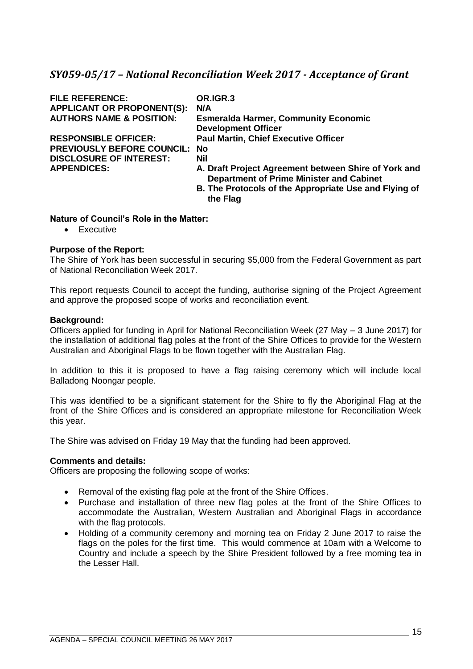# <span id="page-14-0"></span>*SY059-05/17 – National Reconciliation Week 2017 - Acceptance of Grant*

| <b>FILE REFERENCE:</b><br><b>APPLICANT OR PROPONENT(S):</b><br><b>AUTHORS NAME &amp; POSITION:</b>                          | OR.IGR.3<br>N/A<br><b>Esmeralda Harmer, Community Economic</b><br><b>Development Officer</b>                                                                                                                                              |
|-----------------------------------------------------------------------------------------------------------------------------|-------------------------------------------------------------------------------------------------------------------------------------------------------------------------------------------------------------------------------------------|
| <b>RESPONSIBLE OFFICER:</b><br><b>PREVIOUSLY BEFORE COUNCIL: No</b><br><b>DISCLOSURE OF INTEREST:</b><br><b>APPENDICES:</b> | <b>Paul Martin, Chief Executive Officer</b><br><b>Nil</b><br>A. Draft Project Agreement between Shire of York and<br><b>Department of Prime Minister and Cabinet</b><br>B. The Protocols of the Appropriate Use and Flying of<br>the Flag |

#### **Nature of Council's Role in the Matter:**

• Executive

#### **Purpose of the Report:**

The Shire of York has been successful in securing \$5,000 from the Federal Government as part of National Reconciliation Week 2017.

This report requests Council to accept the funding, authorise signing of the Project Agreement and approve the proposed scope of works and reconciliation event.

#### **Background:**

Officers applied for funding in April for National Reconciliation Week (27 May – 3 June 2017) for the installation of additional flag poles at the front of the Shire Offices to provide for the Western Australian and Aboriginal Flags to be flown together with the Australian Flag.

In addition to this it is proposed to have a flag raising ceremony which will include local Balladong Noongar people.

This was identified to be a significant statement for the Shire to fly the Aboriginal Flag at the front of the Shire Offices and is considered an appropriate milestone for Reconciliation Week this year.

The Shire was advised on Friday 19 May that the funding had been approved.

#### **Comments and details:**

Officers are proposing the following scope of works:

- Removal of the existing flag pole at the front of the Shire Offices.
- Purchase and installation of three new flag poles at the front of the Shire Offices to accommodate the Australian, Western Australian and Aboriginal Flags in accordance with the flag protocols.
- Holding of a community ceremony and morning tea on Friday 2 June 2017 to raise the flags on the poles for the first time. This would commence at 10am with a Welcome to Country and include a speech by the Shire President followed by a free morning tea in the Lesser Hall.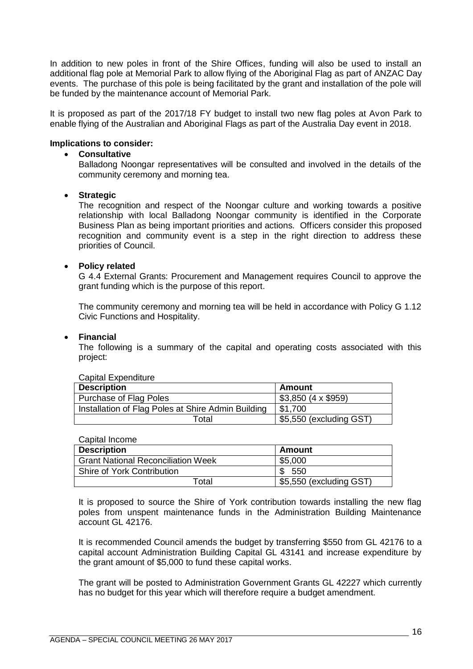In addition to new poles in front of the Shire Offices, funding will also be used to install an additional flag pole at Memorial Park to allow flying of the Aboriginal Flag as part of ANZAC Day events. The purchase of this pole is being facilitated by the grant and installation of the pole will be funded by the maintenance account of Memorial Park.

It is proposed as part of the 2017/18 FY budget to install two new flag poles at Avon Park to enable flying of the Australian and Aboriginal Flags as part of the Australia Day event in 2018.

#### **Implications to consider:**

#### • **Consultative**

Balladong Noongar representatives will be consulted and involved in the details of the community ceremony and morning tea.

#### • **Strategic**

The recognition and respect of the Noongar culture and working towards a positive relationship with local Balladong Noongar community is identified in the Corporate Business Plan as being important priorities and actions. Officers consider this proposed recognition and community event is a step in the right direction to address these priorities of Council.

#### • **Policy related**

G 4.4 External Grants: Procurement and Management requires Council to approve the grant funding which is the purpose of this report.

The community ceremony and morning tea will be held in accordance with Policy G 1.12 Civic Functions and Hospitality.

#### • **Financial**

The following is a summary of the capital and operating costs associated with this project:

#### Capital Expenditure

| <b>Description</b>                                 | Amount                  |
|----------------------------------------------------|-------------------------|
| Purchase of Flag Poles                             | $$3,850$ (4 x $$959$ )  |
| Installation of Flag Poles at Shire Admin Building | \$1.700                 |
| Total                                              | \$5,550 (excluding GST) |

#### Capital Income

| <b>Description</b>                        | Amount                  |
|-------------------------------------------|-------------------------|
| <b>Grant National Reconciliation Week</b> | \$5,000                 |
| <b>Shire of York Contribution</b>         | 550<br>\$.              |
| Total                                     | \$5,550 (excluding GST) |

It is proposed to source the Shire of York contribution towards installing the new flag poles from unspent maintenance funds in the Administration Building Maintenance account GL 42176.

It is recommended Council amends the budget by transferring \$550 from GL 42176 to a capital account Administration Building Capital GL 43141 and increase expenditure by the grant amount of \$5,000 to fund these capital works.

The grant will be posted to Administration Government Grants GL 42227 which currently has no budget for this year which will therefore require a budget amendment.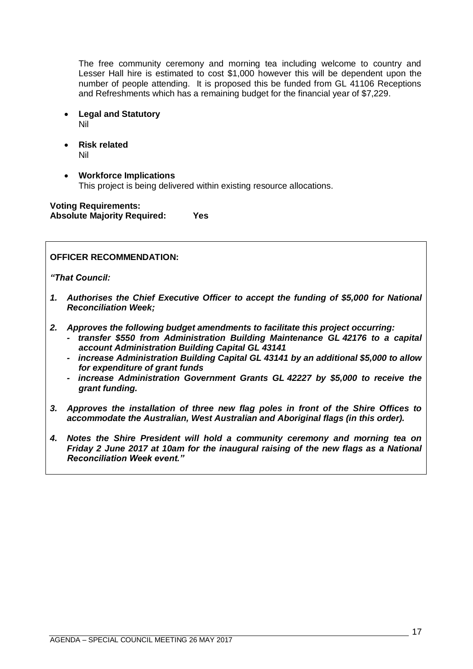The free community ceremony and morning tea including welcome to country and Lesser Hall hire is estimated to cost \$1,000 however this will be dependent upon the number of people attending. It is proposed this be funded from GL 41106 Receptions and Refreshments which has a remaining budget for the financial year of \$7,229.

- **Legal and Statutory** Nil
- **Risk related** Nil
- **Workforce Implications** This project is being delivered within existing resource allocations.

**Voting Requirements: Absolute Majority Required: Yes**

# **OFFICER RECOMMENDATION:**

*"That Council:*

- *1. Authorises the Chief Executive Officer to accept the funding of \$5,000 for National Reconciliation Week;*
- *2. Approves the following budget amendments to facilitate this project occurring:*
	- *- transfer \$550 from Administration Building Maintenance GL 42176 to a capital account Administration Building Capital GL 43141*
	- *- increase Administration Building Capital GL 43141 by an additional \$5,000 to allow for expenditure of grant funds*
	- *- increase Administration Government Grants GL 42227 by \$5,000 to receive the grant funding.*
- *3. Approves the installation of three new flag poles in front of the Shire Offices to accommodate the Australian, West Australian and Aboriginal flags (in this order).*
- *4. Notes the Shire President will hold a community ceremony and morning tea on Friday 2 June 2017 at 10am for the inaugural raising of the new flags as a National Reconciliation Week event."*